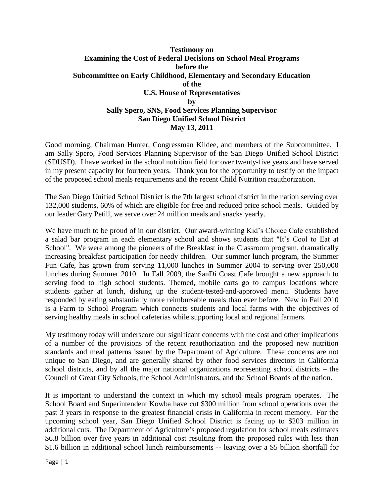## **Testimony on Examining the Cost of Federal Decisions on School Meal Programs before the Subcommittee on Early Childhood, Elementary and Secondary Education of the U.S. House of Representatives by Sally Spero, SNS, Food Services Planning Supervisor San Diego Unified School District May 13, 2011**

Good morning, Chairman Hunter, Congressman Kildee, and members of the Subcommittee. I am Sally Spero, Food Services Planning Supervisor of the San Diego Unified School District (SDUSD). I have worked in the school nutrition field for over twenty-five years and have served in my present capacity for fourteen years. Thank you for the opportunity to testify on the impact of the proposed school meals requirements and the recent Child Nutrition reauthorization.

The San Diego Unified School District is the 7th largest school district in the nation serving over 132,000 students, 60% of which are eligible for free and reduced price school meals. Guided by our leader Gary Petill, we serve over 24 million meals and snacks yearly.

We have much to be proud of in our district. Our award-winning Kid's Choice Cafe established a salad bar program in each elementary school and shows students that "It's Cool to Eat at School". We were among the pioneers of the Breakfast in the Classroom program, dramatically increasing breakfast participation for needy children. Our summer lunch program, the Summer Fun Cafe, has grown from serving 11,000 lunches in Summer 2004 to serving over 250,000 lunches during Summer 2010. In Fall 2009, the SanDi Coast Cafe brought a new approach to serving food to high school students. Themed, mobile carts go to campus locations where students gather at lunch, dishing up the student-tested-and-approved menu. Students have responded by eating substantially more reimbursable meals than ever before. New in Fall 2010 is a Farm to School Program which connects students and local farms with the objectives of serving healthy meals in school cafeterias while supporting local and regional farmers.

My testimony today will underscore our significant concerns with the cost and other implications of a number of the provisions of the recent reauthorization and the proposed new nutrition standards and meal patterns issued by the Department of Agriculture. These concerns are not unique to San Diego, and are generally shared by other food services directors in California school districts, and by all the major national organizations representing school districts – the Council of Great City Schools, the School Administrators, and the School Boards of the nation.

It is important to understand the context in which my school meals program operates. The School Board and Superintendent Kowba have cut \$300 million from school operations over the past 3 years in response to the greatest financial crisis in California in recent memory. For the upcoming school year, San Diego Unified School District is facing up to \$203 million in additional cuts. The Department of Agriculture's proposed regulation for school meals estimates \$6.8 billion over five years in additional cost resulting from the proposed rules with less than \$1.6 billion in additional school lunch reimbursements -- leaving over a \$5 billion shortfall for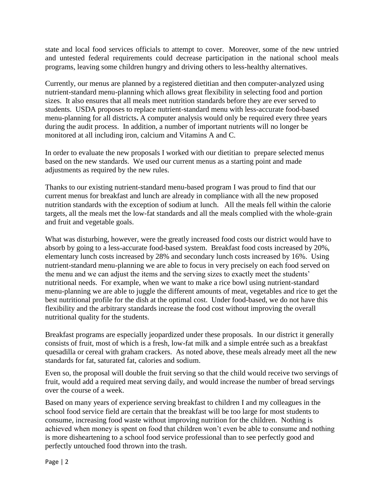state and local food services officials to attempt to cover. Moreover, some of the new untried and untested federal requirements could decrease participation in the national school meals programs, leaving some children hungry and driving others to less-healthy alternatives.

Currently, our menus are planned by a registered dietitian and then computer-analyzed using nutrient-standard menu-planning which allows great flexibility in selecting food and portion sizes. It also ensures that all meals meet nutrition standards before they are ever served to students. USDA proposes to replace nutrient-standard menu with less-accurate food-based menu-planning for all districts**.** A computer analysis would only be required every three years during the audit process. In addition, a number of important nutrients will no longer be monitored at all including iron, calcium and Vitamins A and C.

In order to evaluate the new proposals I worked with our dietitian to prepare selected menus based on the new standards. We used our current menus as a starting point and made adjustments as required by the new rules.

Thanks to our existing nutrient-standard menu-based program I was proud to find that our current menus for breakfast and lunch are already in compliance with all the new proposed nutrition standards with the exception of sodium at lunch. All the meals fell within the calorie targets, all the meals met the low-fat standards and all the meals complied with the whole-grain and fruit and vegetable goals.

What was disturbing, however, were the greatly increased food costs our district would have to absorb by going to a less-accurate food-based system. Breakfast food costs increased by 20%, elementary lunch costs increased by 28% and secondary lunch costs increased by 16%. Using nutrient-standard menu-planning we are able to focus in very precisely on each food served on the menu and we can adjust the items and the serving sizes to exactly meet the students' nutritional needs. For example, when we want to make a rice bowl using nutrient-standard menu-planning we are able to juggle the different amounts of meat, vegetables and rice to get the best nutritional profile for the dish at the optimal cost. Under food-based, we do not have this flexibility and the arbitrary standards increase the food cost without improving the overall nutritional quality for the students.

Breakfast programs are especially jeopardized under these proposals. In our district it generally consists of fruit, most of which is a fresh, low-fat milk and a simple entrée such as a breakfast quesadilla or cereal with graham crackers. As noted above, these meals already meet all the new standards for fat, saturated fat, calories and sodium.

Even so, the proposal will double the fruit serving so that the child would receive two servings of fruit, would add a required meat serving daily, and would increase the number of bread servings over the course of a week.

Based on many years of experience serving breakfast to children I and my colleagues in the school food service field are certain that the breakfast will be too large for most students to consume, increasing food waste without improving nutrition for the children. Nothing is achieved when money is spent on food that children won't even be able to consume and nothing is more disheartening to a school food service professional than to see perfectly good and perfectly untouched food thrown into the trash.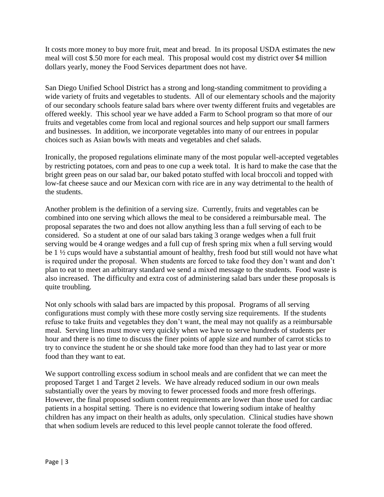It costs more money to buy more fruit, meat and bread. In its proposal USDA estimates the new meal will cost \$.50 more for each meal. This proposal would cost my district over \$4 million dollars yearly, money the Food Services department does not have.

San Diego Unified School District has a strong and long-standing commitment to providing a wide variety of fruits and vegetables to students. All of our elementary schools and the majority of our secondary schools feature salad bars where over twenty different fruits and vegetables are offered weekly. This school year we have added a Farm to School program so that more of our fruits and vegetables come from local and regional sources and help support our small farmers and businesses. In addition, we incorporate vegetables into many of our entrees in popular choices such as Asian bowls with meats and vegetables and chef salads.

Ironically, the proposed regulations eliminate many of the most popular well-accepted vegetables by restricting potatoes, corn and peas to one cup a week total. It is hard to make the case that the bright green peas on our salad bar, our baked potato stuffed with local broccoli and topped with low-fat cheese sauce and our Mexican corn with rice are in any way detrimental to the health of the students.

Another problem is the definition of a serving size. Currently, fruits and vegetables can be combined into one serving which allows the meal to be considered a reimbursable meal. The proposal separates the two and does not allow anything less than a full serving of each to be considered. So a student at one of our salad bars taking 3 orange wedges when a full fruit serving would be 4 orange wedges and a full cup of fresh spring mix when a full serving would be 1 ½ cups would have a substantial amount of healthy, fresh food but still would not have what is required under the proposal. When students are forced to take food they don't want and don't plan to eat to meet an arbitrary standard we send a mixed message to the students. Food waste is also increased. The difficulty and extra cost of administering salad bars under these proposals is quite troubling.

Not only schools with salad bars are impacted by this proposal. Programs of all serving configurations must comply with these more costly serving size requirements. If the students refuse to take fruits and vegetables they don't want, the meal may not qualify as a reimbursable meal. Serving lines must move very quickly when we have to serve hundreds of students per hour and there is no time to discuss the finer points of apple size and number of carrot sticks to try to convince the student he or she should take more food than they had to last year or more food than they want to eat.

We support controlling excess sodium in school meals and are confident that we can meet the proposed Target 1 and Target 2 levels. We have already reduced sodium in our own meals substantially over the years by moving to fewer processed foods and more fresh offerings. However, the final proposed sodium content requirements are lower than those used for cardiac patients in a hospital setting. There is no evidence that lowering sodium intake of healthy children has any impact on their health as adults, only speculation. Clinical studies have shown that when sodium levels are reduced to this level people cannot tolerate the food offered.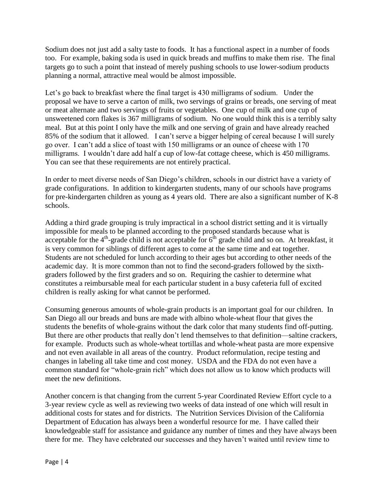Sodium does not just add a salty taste to foods. It has a functional aspect in a number of foods too. For example, baking soda is used in quick breads and muffins to make them rise. The final targets go to such a point that instead of merely pushing schools to use lower-sodium products planning a normal, attractive meal would be almost impossible.

Let's go back to breakfast where the final target is 430 milligrams of sodium. Under the proposal we have to serve a carton of milk, two servings of grains or breads, one serving of meat or meat alternate and two servings of fruits or vegetables. One cup of milk and one cup of unsweetened corn flakes is 367 milligrams of sodium. No one would think this is a terribly salty meal. But at this point I only have the milk and one serving of grain and have already reached 85% of the sodium that it allowed. I can't serve a bigger helping of cereal because I will surely go over. I can't add a slice of toast with 150 milligrams or an ounce of cheese with 170 milligrams. I wouldn't dare add half a cup of low-fat cottage cheese, which is 450 milligrams. You can see that these requirements are not entirely practical.

In order to meet diverse needs of San Diego's children, schools in our district have a variety of grade configurations. In addition to kindergarten students, many of our schools have programs for pre-kindergarten children as young as 4 years old. There are also a significant number of K-8 schools.

Adding a third grade grouping is truly impractical in a school district setting and it is virtually impossible for meals to be planned according to the proposed standards because what is acceptable for the  $4<sup>th</sup>$ -grade child is not acceptable for  $6<sup>th</sup>$  grade child and so on. At breakfast, it is very common for siblings of different ages to come at the same time and eat together. Students are not scheduled for lunch according to their ages but according to other needs of the academic day. It is more common than not to find the second-graders followed by the sixthgraders followed by the first graders and so on. Requiring the cashier to determine what constitutes a reimbursable meal for each particular student in a busy cafeteria full of excited children is really asking for what cannot be performed.

Consuming generous amounts of whole-grain products is an important goal for our children. In San Diego all our breads and buns are made with albino whole-wheat flour that gives the students the benefits of whole-grains without the dark color that many students find off-putting. But there are other products that really don't lend themselves to that definition—saltine crackers, for example. Products such as whole-wheat tortillas and whole-wheat pasta are more expensive and not even available in all areas of the country. Product reformulation, recipe testing and changes in labeling all take time and cost money. USDA and the FDA do not even have a common standard for "whole-grain rich" which does not allow us to know which products will meet the new definitions.

Another concern is that changing from the current 5-year Coordinated Review Effort cycle to a 3-year review cycle as well as reviewing two weeks of data instead of one which will result in additional costs for states and for districts. The Nutrition Services Division of the California Department of Education has always been a wonderful resource for me. I have called their knowledgeable staff for assistance and guidance any number of times and they have always been there for me. They have celebrated our successes and they haven't waited until review time to